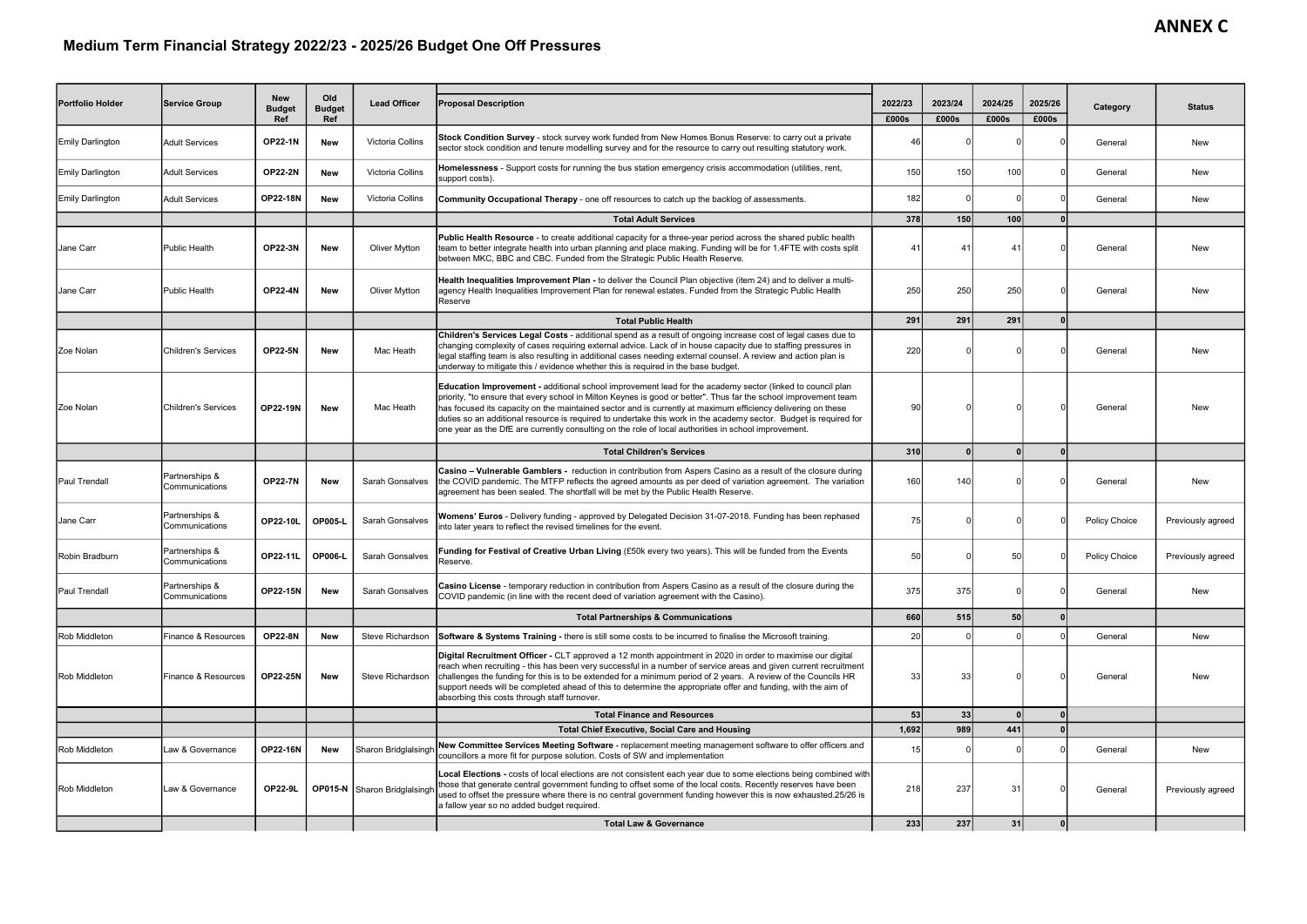## Medium Term Financial Strategy 2022/23 - 2025/26 Budget One Off Pressures

| Portfolio Holder        | Service Group                    | <b>New</b><br><b>Budget</b><br>Ref | Old<br><b>Budget</b><br>Ref | <b>Lead Officer</b>          | <b>Proposal Description</b>                                                                                                                                                                                                                                                                                                                                                                                                                                                                                                                                                       | 2022/23<br>£000s | 2023/24<br>£000s | 2024/25<br>£000s | 2025/26<br>£000s | Category             | <b>Status</b>     |
|-------------------------|----------------------------------|------------------------------------|-----------------------------|------------------------------|-----------------------------------------------------------------------------------------------------------------------------------------------------------------------------------------------------------------------------------------------------------------------------------------------------------------------------------------------------------------------------------------------------------------------------------------------------------------------------------------------------------------------------------------------------------------------------------|------------------|------------------|------------------|------------------|----------------------|-------------------|
| <b>Emily Darlington</b> | <b>Adult Services</b>            | <b>OP22-1N</b>                     | <b>New</b>                  | Victoria Collins             | Stock Condition Survey - stock survey work funded from New Homes Bonus Reserve: to carry out a private<br>sector stock condition and tenure modelling survey and for the resource to carry out resulting statutory work.                                                                                                                                                                                                                                                                                                                                                          | 46               |                  |                  |                  | General              | New               |
| <b>Emily Darlington</b> | Adult Services                   | <b>OP22-2N</b>                     | <b>New</b>                  | Victoria Collins             | Homelessness - Support costs for running the bus station emergency crisis accommodation (utilities, rent,<br>support costs).                                                                                                                                                                                                                                                                                                                                                                                                                                                      | 150              | 150              | 100              |                  | General              | New               |
| <b>Emily Darlington</b> | <b>Adult Services</b>            | <b>OP22-18N</b>                    | <b>New</b>                  | Victoria Collins             | <b>Community Occupational Therapy</b> - one off resources to catch up the backlog of assessments                                                                                                                                                                                                                                                                                                                                                                                                                                                                                  | 182              |                  | -C               |                  | General              | New               |
|                         |                                  |                                    |                             |                              | <b>Total Adult Services</b>                                                                                                                                                                                                                                                                                                                                                                                                                                                                                                                                                       | 378              | 150              | 100              |                  |                      |                   |
| Jane Carr               | lPublic Health                   | <b>OP22-3N</b>                     | <b>New</b>                  | Oliver Mytton                | Public Health Resource - to create additional capacity for a three-year period across the shared public health<br>team to better integrate health into urban planning and place making. Funding will be for 1.4FTE with costs split<br>between MKC, BBC and CBC. Funded from the Strategic Public Health Reserve.                                                                                                                                                                                                                                                                 | 41               | $\mathbf{4}$     | Δ                |                  | General              | New               |
| Jane Carr               | lPublic Health                   | <b>OP22-4N</b>                     | New                         | Oliver Mytton                | Health Inequalities Improvement Plan - to deliver the Council Plan objective (item 24) and to deliver a multi-<br>agency Health Inequalities Improvement Plan for renewal estates. Funded from the Strategic Public Health<br>Reserve                                                                                                                                                                                                                                                                                                                                             | 250              | 250              | 250              |                  | General              | New               |
|                         |                                  |                                    |                             |                              | <b>Total Public Health</b>                                                                                                                                                                                                                                                                                                                                                                                                                                                                                                                                                        | 291              | 291              | 291              |                  |                      |                   |
| Zoe Nolan               | <b>Children's Services</b>       | <b>OP22-5N</b>                     | <b>New</b>                  | Mac Heath                    | Children's Services Legal Costs - additional spend as a result of ongoing increase cost of legal cases due to<br>changing complexity of cases requiring external advice. Lack of in house capacity due to staffing pressures in<br>legal staffing team is also resulting in additional cases needing external counsel. A review and action plan is<br>underway to mitigate this / evidence whether this is required in the base budget.                                                                                                                                           | 220              |                  |                  |                  | General              | New               |
| Zoe Nolan               | <b>I</b> Children's Services     | <b>OP22-19N</b>                    | <b>New</b>                  | Mac Heath                    | <b>Education Improvement</b> - additional school improvement lead for the academy sector (linked to council plan<br>priority, "to ensure that every school in Milton Keynes is good or better". Thus far the school improvement team<br>has focused its capacity on the maintained sector and is currently at maximum efficiency delivering on these<br>duties so an additional resource is required to undertake this work in the academy sector. Budget is required for<br>one year as the DfE are currently consulting on the role of local authorities in school improvement. | 90               |                  |                  |                  | General              | New               |
|                         |                                  |                                    |                             |                              | <b>Total Children's Services</b>                                                                                                                                                                                                                                                                                                                                                                                                                                                                                                                                                  | 310              |                  |                  |                  |                      |                   |
| <b>Paul Trendall</b>    | Partnerships &<br>Communications | <b>OP22-7N</b>                     | <b>New</b>                  | Sarah Gonsalves              | Casino - Vulnerable Gamblers - reduction in contribution from Aspers Casino as a result of the closure during<br>the COVID pandemic. The MTFP reflects the agreed amounts as per deed of variation agreement. The variation<br>agreement has been sealed. The shortfall will be met by the Public Health Reserve.                                                                                                                                                                                                                                                                 | 160              | 140              |                  |                  | General              | <b>New</b>        |
| Jane Carr               | Partnerships &<br>Communications | <b>OP22-10L</b>                    | <b>OP005-L</b>              | <b>Sarah Gonsalves</b>       | Womens' Euros - Delivery funding - approved by Delegated Decision 31-07-2018. Funding has been rephased<br>into later years to reflect the revised timelines for the event.                                                                                                                                                                                                                                                                                                                                                                                                       | 75               |                  |                  |                  | <b>Policy Choice</b> | Previously agreed |
| Robin Bradburn          | Partnerships &<br>Communications | OP22-11L                           | <b>OP006-L</b>              | Sarah Gonsalves              | Funding for Festival of Creative Urban Living (£50k every two years). This will be funded from the Events<br>Reserve.                                                                                                                                                                                                                                                                                                                                                                                                                                                             | 50               |                  | 50               |                  | Policy Choice        | Previously agreed |
| Paul Trendall           | Partnerships &<br>Communications | <b>OP22-15N</b>                    | New                         | Sarah Gonsalves              | Casino License - temporary reduction in contribution from Aspers Casino as a result of the closure during the<br>COVID pandemic (in line with the recent deed of variation agreement with the Casino).                                                                                                                                                                                                                                                                                                                                                                            | 375              | 375              |                  |                  | General              | <b>New</b>        |
|                         |                                  |                                    |                             |                              | <b>Total Partnerships &amp; Communications</b>                                                                                                                                                                                                                                                                                                                                                                                                                                                                                                                                    | 660              | 515              | 50               |                  |                      |                   |
| Rob Middleton           | Finance & Resources              | <b>OP22-8N</b>                     | <b>New</b>                  | Steve Richardson             | <b>Software &amp; Systems Training -</b> there is still some costs to be incurred to finalise the Microsoft training.                                                                                                                                                                                                                                                                                                                                                                                                                                                             | 20               |                  |                  |                  | General              | New               |
| <b>Rob Middleton</b>    | Finance & Resources              | <b>OP22-25N</b>                    | New                         | Steve Richardson             | Digital Recruitment Officer - CLT approved a 12 month appointment in 2020 in order to maximise our digital<br>reach when recruiting - this has been very successful in a number of service areas and given current recruitment<br>challenges the funding for this is to be extended for a minimum period of 2 years. A review of the Councils HR<br>support needs will be completed ahead of this to determine the appropriate offer and funding, with the aim of<br>absorbing this costs through staff turnover.                                                                 | 33               | 33               |                  |                  | General              | <b>New</b>        |
|                         |                                  |                                    |                             |                              | <b>Total Finance and Resources</b>                                                                                                                                                                                                                                                                                                                                                                                                                                                                                                                                                | 53               | 33               | $\Omega$         |                  |                      |                   |
|                         |                                  |                                    |                             |                              | <b>Total Chief Executive, Social Care and Housing</b>                                                                                                                                                                                                                                                                                                                                                                                                                                                                                                                             | 1,692            | 989              | 441              |                  |                      |                   |
| Rob Middleton           | Law & Governance                 | <b>OP22-16N</b>                    | New                         | Sharon Bridglalsingh         | New Committee Services Meeting Software - replacement meeting management software to offer officers and<br>councillors a more fit for purpose solution. Costs of SW and implementation                                                                                                                                                                                                                                                                                                                                                                                            | 15               |                  |                  |                  | General              | New               |
| Rob Middleton           | Law & Governance                 | <b>OP22-9L</b>                     |                             | OP015-N Sharon Bridglalsingh | Local Elections - costs of local elections are not consistent each year due to some elections being combined with<br>those that generate central government funding to offset some of the local costs. Recently reserves have been<br>used to offset the pressure where there is no central government funding however this is now exhausted.25/26 is<br>a fallow year so no added budget required.                                                                                                                                                                               | 218              | 237              | 31               |                  | General              | Previously agreed |
|                         |                                  |                                    |                             |                              | <b>Total Law &amp; Governance</b>                                                                                                                                                                                                                                                                                                                                                                                                                                                                                                                                                 | 233              | 237              | 31               | $\mathbf{0}$     |                      |                   |

## **ANNEX C**